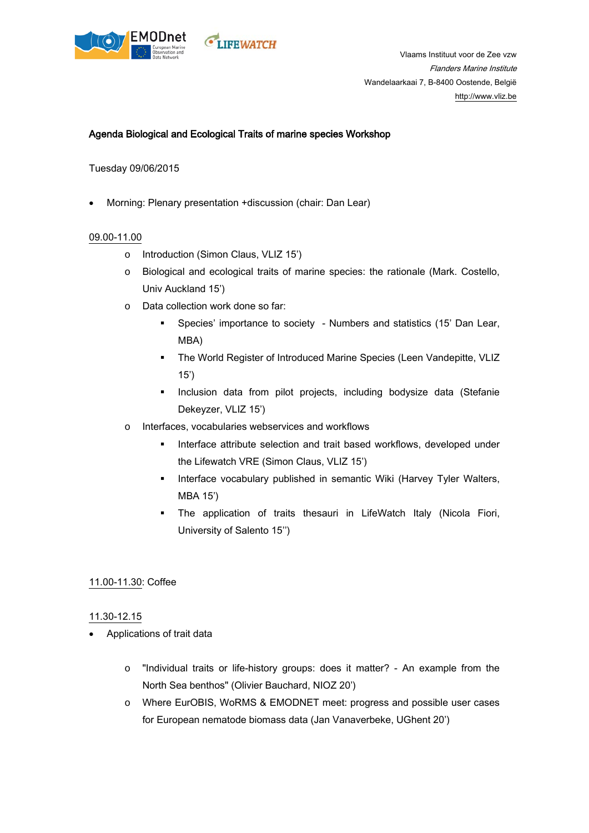



# Agenda Biological and Ecological Traits of marine species Workshop

Tuesday 09/06/2015

• Morning: Plenary presentation +discussion (chair: Dan Lear)

## 09.00-11.00

- o Introduction (Simon Claus, VLIZ 15')
- o Biological and ecological traits of marine species: the rationale (Mark. Costello, Univ Auckland 15')
- o Data collection work done so far:
	- Species' importance to society Numbers and statistics (15' Dan Lear, MBA)
	- **The World Register of Introduced Marine Species (Leen Vandepitte, VLIZ** 15')
	- **Inclusion data from pilot projects, including bodysize data (Stefanie** Dekeyzer, VLIZ 15')
- o Interfaces, vocabularies webservices and workflows
	- Interface attribute selection and trait based workflows, developed under the Lifewatch VRE (Simon Claus, VLIZ 15')
	- **Interface vocabulary published in semantic Wiki (Harvey Tyler Walters,** MBA 15')
	- The application of traits thesauri in LifeWatch Italy (Nicola Fiori, University of Salento 15'')

## 11.00-11.30: Coffee

## 11.30-12.15

- Applications of trait data
	- o "Individual traits or life-history groups: does it matter? An example from the North Sea benthos" (Olivier Bauchard, NIOZ 20')
	- o Where EurOBIS, WoRMS & EMODNET meet: progress and possible user cases for European nematode biomass data (Jan Vanaverbeke, UGhent 20')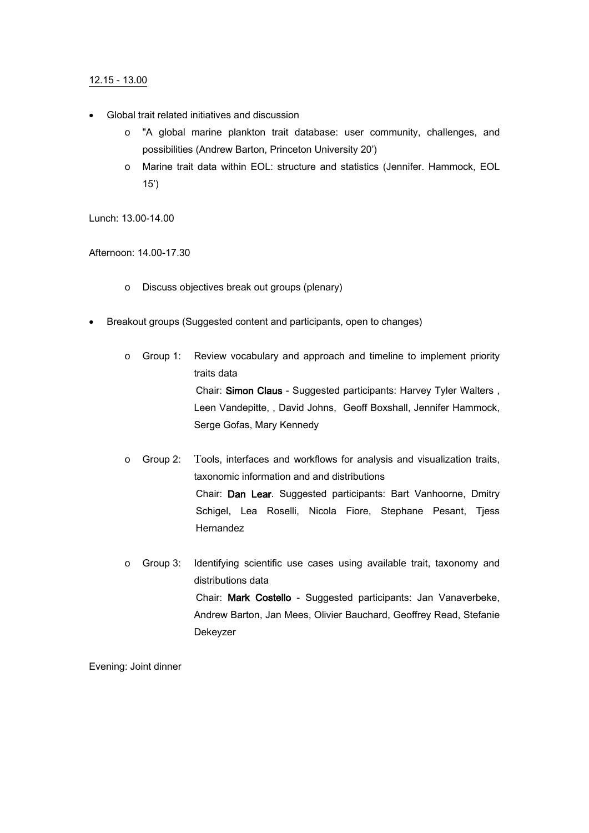## 12.15 - 13.00

- Global trait related initiatives and discussion
	- o "A global marine plankton trait database: user community, challenges, and possibilities (Andrew Barton, Princeton University 20')
	- o Marine trait data within EOL: structure and statistics (Jennifer. Hammock, EOL 15')

Lunch: 13.00-14.00

Afternoon: 14.00-17.30

- o Discuss objectives break out groups (plenary)
- Breakout groups (Suggested content and participants, open to changes)
	- o Group 1: Review vocabulary and approach and timeline to implement priority traits data Chair: Simon Claus - Suggested participants: Harvey Tyler Walters , Leen Vandepitte, , David Johns, Geoff Boxshall, Jennifer Hammock, Serge Gofas, Mary Kennedy
	- o Group 2: Tools, interfaces and workflows for analysis and visualization traits, taxonomic information and and distributions Chair: Dan Lear. Suggested participants: Bart Vanhoorne, Dmitry Schigel, Lea Roselli, Nicola Fiore, Stephane Pesant, Tjess Hernandez
	- o Group 3: Identifying scientific use cases using available trait, taxonomy and distributions data Chair: Mark Costello - Suggested participants: Jan Vanaverbeke, Andrew Barton, Jan Mees, Olivier Bauchard, Geoffrey Read, Stefanie Dekeyzer

Evening: Joint dinner